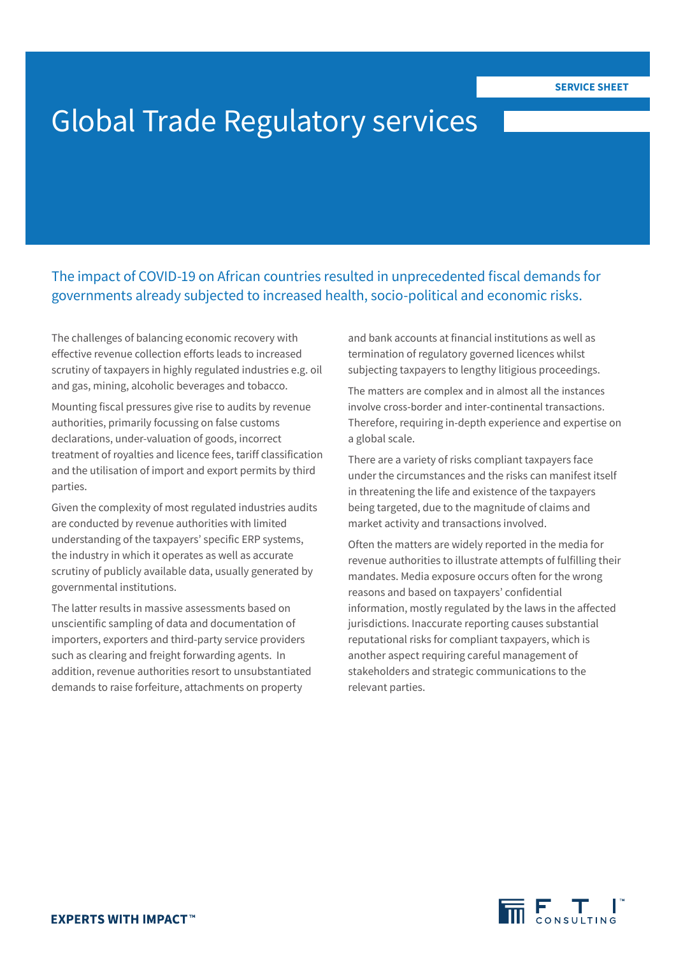# Global Trade Regulatory services

The impact of COVID-19 on African countries resulted in unprecedented fiscal demands for governments already subjected to increased health, socio-political and economic risks.

The challenges of balancing economic recovery with effective revenue collection efforts leads to increased scrutiny of taxpayers in highly regulated industries e.g. oil and gas, mining, alcoholic beverages and tobacco.

Mounting fiscal pressures give rise to audits by revenue authorities, primarily focussing on false customs declarations, under-valuation of goods, incorrect treatment of royalties and licence fees, tariff classification and the utilisation of import and export permits by third parties.

Given the complexity of most regulated industries audits are conducted by revenue authorities with limited understanding of the taxpayers' specific ERP systems, the industry in which it operates as well as accurate scrutiny of publicly available data, usually generated by governmental institutions.

The latter results in massive assessments based on unscientific sampling of data and documentation of importers, exporters and third-party service providers such as clearing and freight forwarding agents. In addition, revenue authorities resort to unsubstantiated demands to raise forfeiture, attachments on property

and bank accounts at financial institutions as well as termination of regulatory governed licences whilst subjecting taxpayers to lengthy litigious proceedings.

The matters are complex and in almost all the instances involve cross-border and inter-continental transactions. Therefore, requiring in-depth experience and expertise on a global scale.

There are a variety of risks compliant taxpayers face under the circumstances and the risks can manifest itself in threatening the life and existence of the taxpayers being targeted, due to the magnitude of claims and market activity and transactions involved.

Often the matters are widely reported in the media for revenue authorities to illustrate attempts of fulfilling their mandates. Media exposure occurs often for the wrong reasons and based on taxpayers' confidential information, mostly regulated by the laws in the affected jurisdictions. Inaccurate reporting causes substantial reputational risks for compliant taxpayers, which is another aspect requiring careful management of stakeholders and strategic communications to the relevant parties.

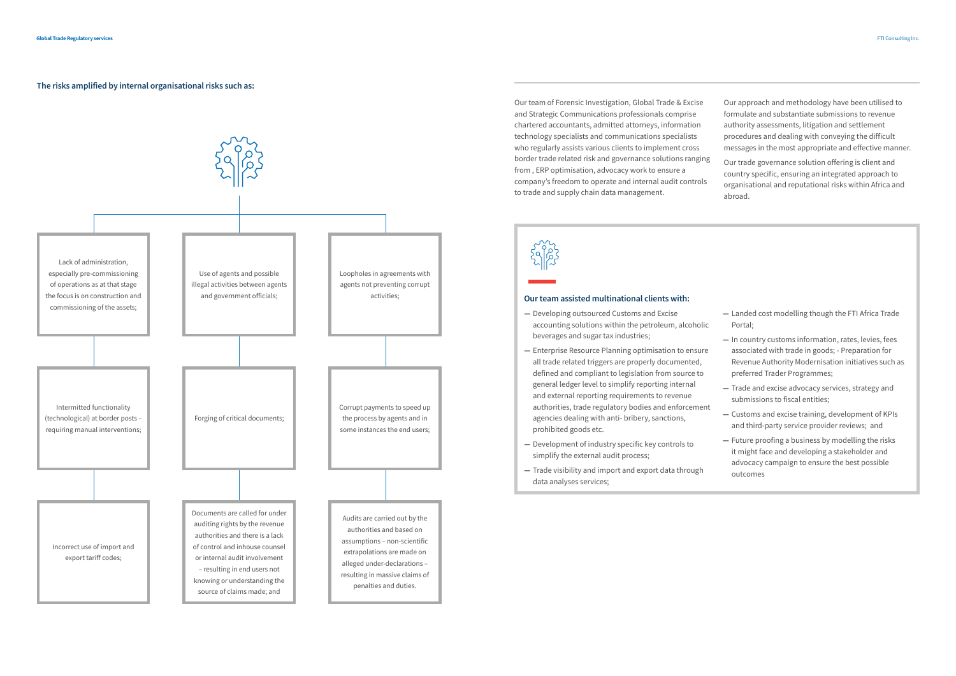Our approach and methodology have been utilised to formulate and substantiate submissions to revenue authority assessments, litigation and settlement procedures and dealing with conveying the difficult messages in the most appropriate and effective manner.

Our trade governance solution offering is client and country specific, ensuring an integrated approach to organisational and reputational risks within Africa and abroad.

Our team of Forensic Investigation, Global Trade & Excise and Strategic Communications professionals comprise chartered accountants, admitted attorneys, information technology specialists and communications specialists who regularly assists various clients to implement cross border trade related risk and governance solutions ranging from , ERP optimisation, advocacy work to ensure a company's freedom to operate and internal audit controls to trade and supply chain data management.



# **Our team assisted multinational clients with:**

- **—** Developing outsourced Customs and Excise accounting solutions within the petroleum, alcoholic beverages and sugar tax industries;
- **—** Enterprise Resource Planning optimisation to ensure all trade related triggers are properly documented, defined and compliant to legislation from source to general ledger level to simplify reporting internal and external reporting requirements to revenue authorities, trade regulatory bodies and enforcement agencies dealing with anti- bribery, sanctions, prohibited goods etc.
- **—** Development of industry specific key controls to simplify the external audit process;
- **—** Trade visibility and import and export data through data analyses services;
- **—** Landed cost modelling though the FTI Africa Trade Portal;
- **—** In country customs information, rates, levies, fees associated with trade in goods; - Preparation for Revenue Authority Modernisation initiatives such as preferred Trader Programmes;
- **—** Trade and excise advocacy services, strategy and submissions to fiscal entities;
- **—** Customs and excise training, development of KPIs and third-party service provider reviews; and
- **—** Future proofing a business by modelling the risks it might face and developing a stakeholder and advocacy campaign to ensure the best possible outcomes

**The risks amplified by internal organisational risks such as:**